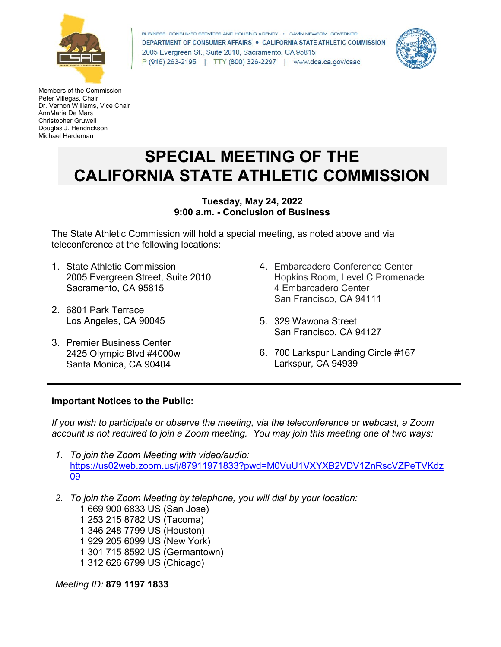

BUSINESS, CONSUMER SERVICES AND HOUSING AGENCY · GAVIN NEWSOM, GOVERNOR DEPARTMENT OF CONSUMER AFFAIRS . CALIFORNIA STATE ATHLETIC COMMISSION 2005 Evergreen St., Suite 2010, Sacramento, CA 95815 P (916) 263-2195 | TTY (800) 326-2297 | www.dca.ca.gov/csac



Members of the Commission Peter Villegas, Chair Dr. Vernon Williams, Vice Chair AnnMaria De Mars Christopher Gruwell Douglas J. Hendrickson Michael Hardeman

# **SPECIAL MEETING OF THE CALIFORNIA STATE ATHLETIC COMMISSION**

#### **Tuesday, May 24, 2022 9:00 a.m. - Conclusion of Business**

The State Athletic Commission will hold a special meeting, as noted above and via teleconference at the following locations:

- 1. State Athletic Commission 2005 Evergreen Street, Suite 2010 Sacramento, CA 95815
- 2. 6801 Park Terrace Los Angeles, CA 90045
- 3. Premier Business Center 2425 Olympic Blvd #4000w Santa Monica, CA 90404
- 4. Embarcadero Conference Center Hopkins Room, Level C Promenade 4 Embarcadero Center San Francisco, CA 94111
- 5. 329 Wawona Street San Francisco, CA 94127
- 6. 700 Larkspur Landing Circle #167 Larkspur, CA 94939

## **Important Notices to the Public:**

*If you wish to participate or observe the meeting, via the teleconference or webcast, a Zoom account is not required to join a Zoom meeting. You may join this meeting one of two ways:* 

- *1. To join the Zoom Meeting with video/audio:* [https://us02web.zoom.us/j/87911971833?pwd=M0VuU1VXYXB2VDV1ZnRscVZPeTVKdz](https://us02web.zoom.us/j/87911971833?pwd=M0VuU1VXYXB2VDV1ZnRscVZPeTVKdz09) [09](https://us02web.zoom.us/j/87911971833?pwd=M0VuU1VXYXB2VDV1ZnRscVZPeTVKdz09)
- *2. To join the Zoom Meeting by telephone, you will dial by your location:*

 1 669 900 6833 US (San Jose) 1 253 215 8782 US (Tacoma) 1 346 248 7799 US (Houston) 1 929 205 6099 US (New York) 1 301 715 8592 US (Germantown) 1 312 626 6799 US (Chicago)

*Meeting ID:* **879 1197 1833**